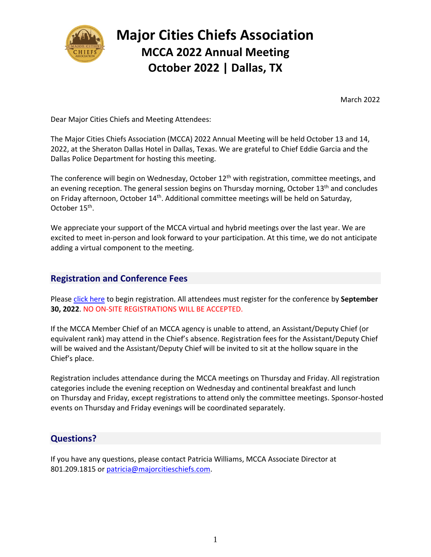

# **Major Cities Chiefs Association MCCA 2022 Annual Meeting October 2022 | Dallas, TX**

March 2022

Dear Major Cities Chiefs and Meeting Attendees:

The Major Cities Chiefs Association (MCCA) 2022 Annual Meeting will be held October 13 and 14, 2022, at the Sheraton Dallas Hotel in Dallas, Texas. We are grateful to Chief Eddie Garcia and the Dallas Police Department for hosting this meeting.

The conference will begin on Wednesday, October  $12<sup>th</sup>$  with registration, committee meetings, and an evening reception. The general session begins on Thursday morning, October 13<sup>th</sup> and concludes on Friday afternoon, October 14th. Additional committee meetings will be held on Saturday, October 15<sup>th</sup>.

We appreciate your support of the MCCA virtual and hybrid meetings over the last year. We are excited to meet in-person and look forward to your participation. At this time, we do not anticipate adding a virtual component to the meeting.

#### **Registration and Conference Fees**

Please [click here](https://mcca.wildapricot.org/event-4680885) to begin registration. All attendees must register for the conference by **September 30, 2022**. NO ON-SITE REGISTRATIONS WILL BE ACCEPTED.

If the MCCA Member Chief of an MCCA agency is unable to attend, an Assistant/Deputy Chief (or equivalent rank) may attend in the Chief's absence. Registration fees for the Assistant/Deputy Chief will be waived and the Assistant/Deputy Chief will be invited to sit at the hollow square in the Chief's place.

Registration includes attendance during the MCCA meetings on Thursday and Friday. All registration categories include the evening reception on Wednesday and continental breakfast and lunch on Thursday and Friday, except registrations to attend only the committee meetings. Sponsor-hosted events on Thursday and Friday evenings will be coordinated separately.

### **Questions?**

If you have any questions, please contact Patricia Williams, MCCA Associate Director at 801.209.1815 or [patricia@majorcitieschiefs.com.](mailto:patricia@majorcitieschiefs.com)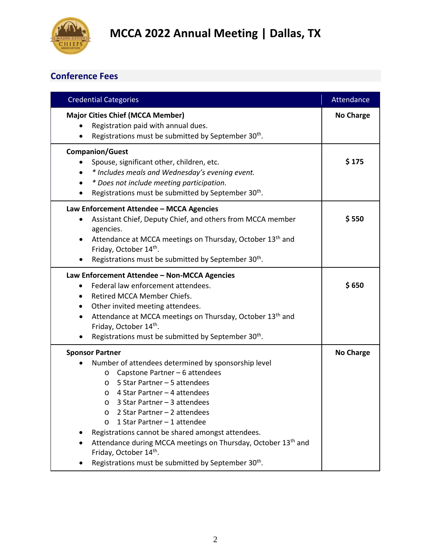

### **Conference Fees**

| <b>Credential Categories</b>                                                                                                                                                                                                                                                                                                                                                                                                                                                                                                                                      | Attendance       |
|-------------------------------------------------------------------------------------------------------------------------------------------------------------------------------------------------------------------------------------------------------------------------------------------------------------------------------------------------------------------------------------------------------------------------------------------------------------------------------------------------------------------------------------------------------------------|------------------|
| <b>Major Cities Chief (MCCA Member)</b><br>Registration paid with annual dues.<br>Registrations must be submitted by September 30 <sup>th</sup> .                                                                                                                                                                                                                                                                                                                                                                                                                 | <b>No Charge</b> |
| <b>Companion/Guest</b><br>Spouse, significant other, children, etc.<br>* Includes meals and Wednesday's evening event.<br>* Does not include meeting participation.<br>Registrations must be submitted by September 30 <sup>th</sup> .                                                                                                                                                                                                                                                                                                                            | \$175            |
| Law Enforcement Attendee - MCCA Agencies<br>Assistant Chief, Deputy Chief, and others from MCCA member<br>agencies.<br>Attendance at MCCA meetings on Thursday, October 13th and<br>Friday, October 14th.<br>Registrations must be submitted by September 30 <sup>th</sup> .                                                                                                                                                                                                                                                                                      | \$550            |
| Law Enforcement Attendee - Non-MCCA Agencies<br>Federal law enforcement attendees.<br>Retired MCCA Member Chiefs.<br>Other invited meeting attendees.<br>Attendance at MCCA meetings on Thursday, October 13th and<br>Friday, October 14th.<br>Registrations must be submitted by September 30 <sup>th</sup> .                                                                                                                                                                                                                                                    | \$650            |
| <b>Sponsor Partner</b><br>Number of attendees determined by sponsorship level<br>Capstone Partner - 6 attendees<br>$\circ$<br>5 Star Partner - 5 attendees<br>$\circ$<br>4 Star Partner - 4 attendees<br>$\circ$<br>3 Star Partner - 3 attendees<br>$\circ$<br>2 Star Partner - 2 attendees<br>$\circ$<br>1 Star Partner - 1 attendee<br>$\circ$<br>Registrations cannot be shared amongst attendees.<br>Attendance during MCCA meetings on Thursday, October 13 <sup>th</sup> and<br>Friday, October 14th.<br>Registrations must be submitted by September 30th. | <b>No Charge</b> |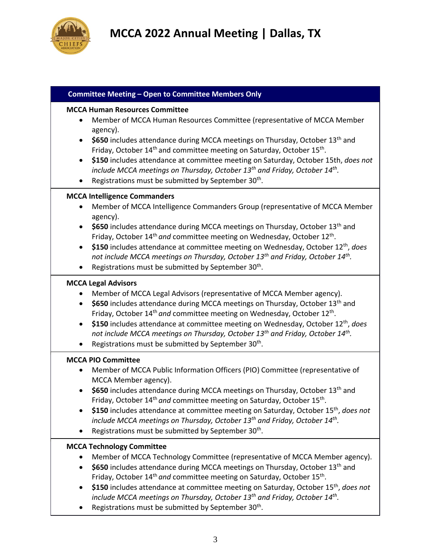

| <b>Committee Meeting - Open to Committee Members Only</b>                                                                                                                                                                                                                                                                                                                                                                                                                                                                                                                                                                                                        |
|------------------------------------------------------------------------------------------------------------------------------------------------------------------------------------------------------------------------------------------------------------------------------------------------------------------------------------------------------------------------------------------------------------------------------------------------------------------------------------------------------------------------------------------------------------------------------------------------------------------------------------------------------------------|
| <b>MCCA Human Resources Committee</b><br>Member of MCCA Human Resources Committee (representative of MCCA Member<br>$\bullet$<br>agency).<br>\$650 includes attendance during MCCA meetings on Thursday, October 13 <sup>th</sup> and<br>$\bullet$<br>Friday, October 14 <sup>th</sup> and committee meeting on Saturday, October 15 <sup>th</sup> .<br>\$150 includes attendance at committee meeting on Saturday, October 15th, does not<br>$\bullet$<br>include MCCA meetings on Thursday, October 13 <sup>th</sup> and Friday, October 14 <sup>th</sup> .<br>Registrations must be submitted by September 30 <sup>th</sup> .<br>$\bullet$                    |
| <b>MCCA Intelligence Commanders</b><br>Member of MCCA Intelligence Commanders Group (representative of MCCA Member<br>agency).<br>\$650 includes attendance during MCCA meetings on Thursday, October 13 <sup>th</sup> and<br>$\bullet$<br>Friday, October 14 <sup>th</sup> and committee meeting on Wednesday, October 12 <sup>th</sup> .<br>\$150 includes attendance at committee meeting on Wednesday, October 12 <sup>th</sup> , does<br>$\bullet$<br>not include MCCA meetings on Thursday, October 13 <sup>th</sup> and Friday, October 14 <sup>th</sup> .<br>Registrations must be submitted by September 30 <sup>th</sup> .<br>$\bullet$                |
| <b>MCCA Legal Advisors</b><br>Member of MCCA Legal Advisors (representative of MCCA Member agency).<br>\$650 includes attendance during MCCA meetings on Thursday, October 13 <sup>th</sup> and<br>$\bullet$<br>Friday, October 14 <sup>th</sup> and committee meeting on Wednesday, October 12 <sup>th</sup> .<br>\$150 includes attendance at committee meeting on Wednesday, October $12th$ , does<br>$\bullet$<br>not include MCCA meetings on Thursday, October 13 <sup>th</sup> and Friday, October 14 <sup>th</sup> .<br>Registrations must be submitted by September 30 <sup>th</sup> .                                                                  |
| <b>MCCA PIO Committee</b><br>Member of MCCA Public Information Officers (PIO) Committee (representative of<br>$\bullet$<br>MCCA Member agency).<br>\$650 includes attendance during MCCA meetings on Thursday, October 13 <sup>th</sup> and<br>$\bullet$<br>Friday, October 14 <sup>th</sup> and committee meeting on Saturday, October 15 <sup>th</sup> .<br>\$150 includes attendance at committee meeting on Saturday, October 15 <sup>th</sup> , does not<br>$\bullet$<br>include MCCA meetings on Thursday, October 13 <sup>th</sup> and Friday, October 14 <sup>th</sup> .<br>Registrations must be submitted by September 30 <sup>th</sup> .<br>$\bullet$ |
| <b>MCCA Technology Committee</b><br>Member of MCCA Technology Committee (representative of MCCA Member agency).<br>\$650 includes attendance during MCCA meetings on Thursday, October 13 <sup>th</sup> and<br>$\bullet$<br>Friday, October 14 <sup>th</sup> and committee meeting on Saturday, October 15 <sup>th</sup> .<br>\$150 includes attendance at committee meeting on Saturday, October 15 <sup>th</sup> , does not<br>$\bullet$<br>include MCCA meetings on Thursday, October 13 <sup>th</sup> and Friday, October 14 <sup>th</sup> .<br>Registrations must be submitted by September 30 <sup>th</sup> .                                              |